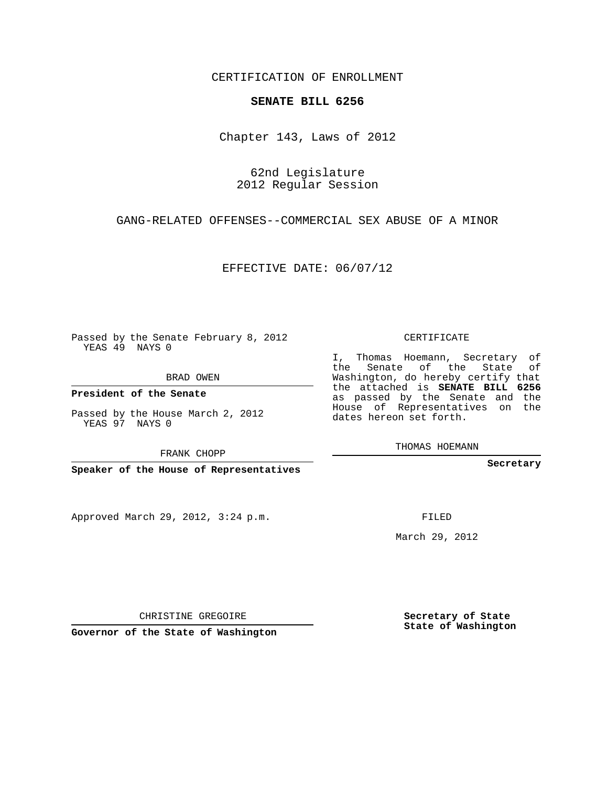CERTIFICATION OF ENROLLMENT

## **SENATE BILL 6256**

Chapter 143, Laws of 2012

62nd Legislature 2012 Regular Session

GANG-RELATED OFFENSES--COMMERCIAL SEX ABUSE OF A MINOR

EFFECTIVE DATE: 06/07/12

Passed by the Senate February 8, 2012 YEAS 49 NAYS 0

BRAD OWEN

**President of the Senate**

Passed by the House March 2, 2012 YEAS 97 NAYS 0

FRANK CHOPP

**Speaker of the House of Representatives**

Approved March 29, 2012, 3:24 p.m.

CERTIFICATE

I, Thomas Hoemann, Secretary of the Senate of the State of Washington, do hereby certify that the attached is **SENATE BILL 6256** as passed by the Senate and the House of Representatives on the dates hereon set forth.

THOMAS HOEMANN

**Secretary**

FILED

March 29, 2012

**Secretary of State State of Washington**

CHRISTINE GREGOIRE

**Governor of the State of Washington**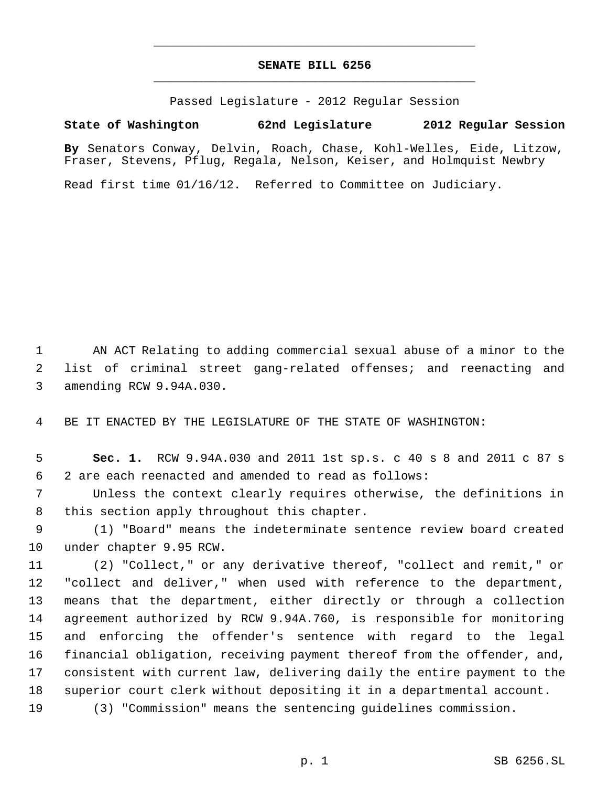## **SENATE BILL 6256** \_\_\_\_\_\_\_\_\_\_\_\_\_\_\_\_\_\_\_\_\_\_\_\_\_\_\_\_\_\_\_\_\_\_\_\_\_\_\_\_\_\_\_\_\_

\_\_\_\_\_\_\_\_\_\_\_\_\_\_\_\_\_\_\_\_\_\_\_\_\_\_\_\_\_\_\_\_\_\_\_\_\_\_\_\_\_\_\_\_\_

Passed Legislature - 2012 Regular Session

## **State of Washington 62nd Legislature 2012 Regular Session**

**By** Senators Conway, Delvin, Roach, Chase, Kohl-Welles, Eide, Litzow, Fraser, Stevens, Pflug, Regala, Nelson, Keiser, and Holmquist Newbry

Read first time 01/16/12. Referred to Committee on Judiciary.

 AN ACT Relating to adding commercial sexual abuse of a minor to the list of criminal street gang-related offenses; and reenacting and amending RCW 9.94A.030.

BE IT ENACTED BY THE LEGISLATURE OF THE STATE OF WASHINGTON:

 **Sec. 1.** RCW 9.94A.030 and 2011 1st sp.s. c 40 s 8 and 2011 c 87 s 2 are each reenacted and amended to read as follows:

 Unless the context clearly requires otherwise, the definitions in this section apply throughout this chapter.

 (1) "Board" means the indeterminate sentence review board created under chapter 9.95 RCW.

 (2) "Collect," or any derivative thereof, "collect and remit," or "collect and deliver," when used with reference to the department, means that the department, either directly or through a collection agreement authorized by RCW 9.94A.760, is responsible for monitoring and enforcing the offender's sentence with regard to the legal financial obligation, receiving payment thereof from the offender, and, consistent with current law, delivering daily the entire payment to the superior court clerk without depositing it in a departmental account.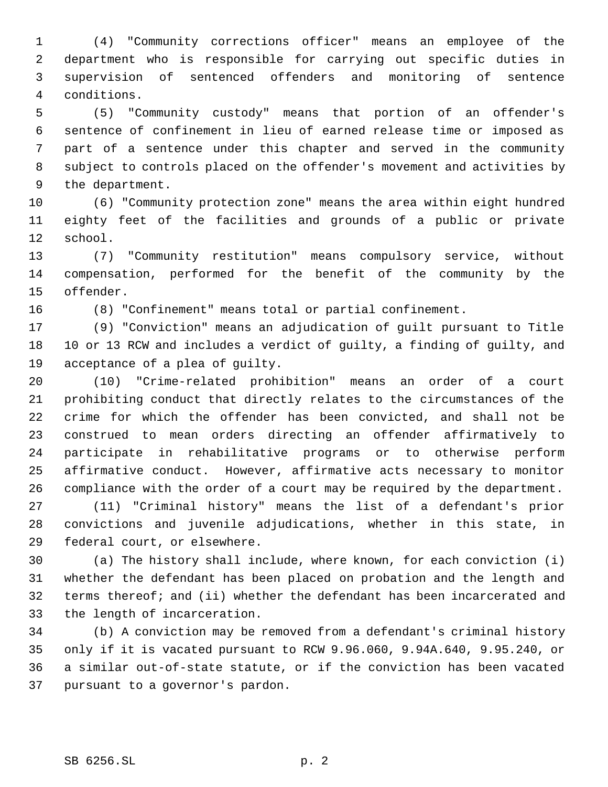(4) "Community corrections officer" means an employee of the department who is responsible for carrying out specific duties in supervision of sentenced offenders and monitoring of sentence conditions.

 (5) "Community custody" means that portion of an offender's sentence of confinement in lieu of earned release time or imposed as part of a sentence under this chapter and served in the community subject to controls placed on the offender's movement and activities by the department.

 (6) "Community protection zone" means the area within eight hundred eighty feet of the facilities and grounds of a public or private school.

 (7) "Community restitution" means compulsory service, without compensation, performed for the benefit of the community by the offender.

(8) "Confinement" means total or partial confinement.

 (9) "Conviction" means an adjudication of guilt pursuant to Title 10 or 13 RCW and includes a verdict of guilty, a finding of guilty, and acceptance of a plea of guilty.

 (10) "Crime-related prohibition" means an order of a court prohibiting conduct that directly relates to the circumstances of the crime for which the offender has been convicted, and shall not be construed to mean orders directing an offender affirmatively to participate in rehabilitative programs or to otherwise perform affirmative conduct. However, affirmative acts necessary to monitor compliance with the order of a court may be required by the department. (11) "Criminal history" means the list of a defendant's prior

 convictions and juvenile adjudications, whether in this state, in federal court, or elsewhere.

 (a) The history shall include, where known, for each conviction (i) whether the defendant has been placed on probation and the length and terms thereof; and (ii) whether the defendant has been incarcerated and the length of incarceration.

 (b) A conviction may be removed from a defendant's criminal history only if it is vacated pursuant to RCW 9.96.060, 9.94A.640, 9.95.240, or a similar out-of-state statute, or if the conviction has been vacated pursuant to a governor's pardon.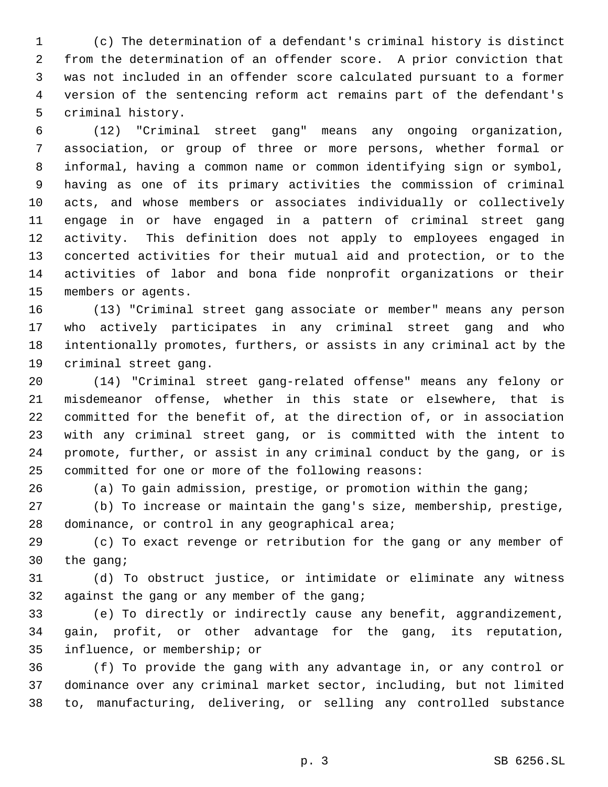(c) The determination of a defendant's criminal history is distinct from the determination of an offender score. A prior conviction that was not included in an offender score calculated pursuant to a former version of the sentencing reform act remains part of the defendant's criminal history.

 (12) "Criminal street gang" means any ongoing organization, association, or group of three or more persons, whether formal or informal, having a common name or common identifying sign or symbol, having as one of its primary activities the commission of criminal acts, and whose members or associates individually or collectively engage in or have engaged in a pattern of criminal street gang activity. This definition does not apply to employees engaged in concerted activities for their mutual aid and protection, or to the activities of labor and bona fide nonprofit organizations or their members or agents.

 (13) "Criminal street gang associate or member" means any person who actively participates in any criminal street gang and who intentionally promotes, furthers, or assists in any criminal act by the criminal street gang.

 (14) "Criminal street gang-related offense" means any felony or misdemeanor offense, whether in this state or elsewhere, that is committed for the benefit of, at the direction of, or in association with any criminal street gang, or is committed with the intent to promote, further, or assist in any criminal conduct by the gang, or is committed for one or more of the following reasons:

(a) To gain admission, prestige, or promotion within the gang;

 (b) To increase or maintain the gang's size, membership, prestige, 28 dominance, or control in any geographical area;

 (c) To exact revenge or retribution for the gang or any member of the gang;

 (d) To obstruct justice, or intimidate or eliminate any witness against the gang or any member of the gang;

 (e) To directly or indirectly cause any benefit, aggrandizement, gain, profit, or other advantage for the gang, its reputation, influence, or membership; or

 (f) To provide the gang with any advantage in, or any control or dominance over any criminal market sector, including, but not limited to, manufacturing, delivering, or selling any controlled substance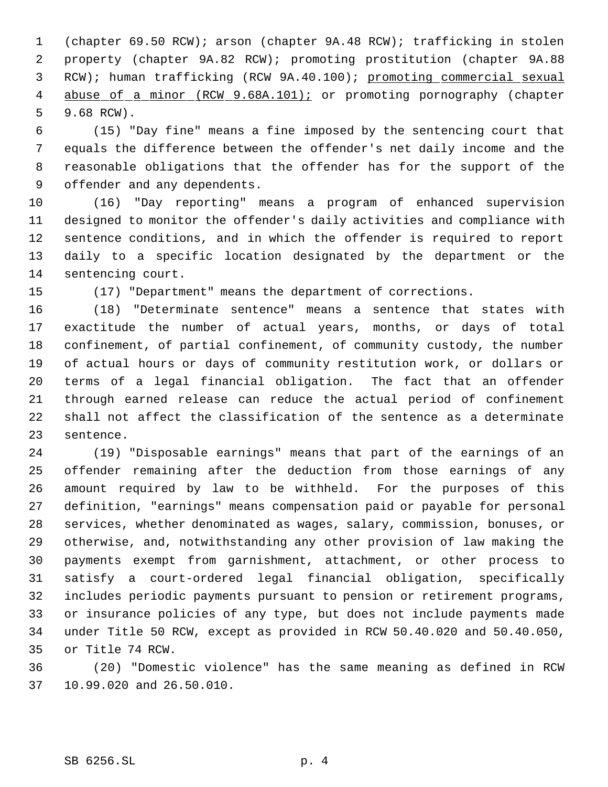(chapter 69.50 RCW); arson (chapter 9A.48 RCW); trafficking in stolen property (chapter 9A.82 RCW); promoting prostitution (chapter 9A.88 RCW); human trafficking (RCW 9A.40.100); promoting commercial sexual 4 abuse of a minor (RCW 9.68A.101); or promoting pornography (chapter 9.68 RCW).

 (15) "Day fine" means a fine imposed by the sentencing court that equals the difference between the offender's net daily income and the reasonable obligations that the offender has for the support of the offender and any dependents.

 (16) "Day reporting" means a program of enhanced supervision designed to monitor the offender's daily activities and compliance with sentence conditions, and in which the offender is required to report daily to a specific location designated by the department or the sentencing court.

(17) "Department" means the department of corrections.

 (18) "Determinate sentence" means a sentence that states with exactitude the number of actual years, months, or days of total confinement, of partial confinement, of community custody, the number of actual hours or days of community restitution work, or dollars or terms of a legal financial obligation. The fact that an offender through earned release can reduce the actual period of confinement shall not affect the classification of the sentence as a determinate sentence.

 (19) "Disposable earnings" means that part of the earnings of an offender remaining after the deduction from those earnings of any amount required by law to be withheld. For the purposes of this definition, "earnings" means compensation paid or payable for personal services, whether denominated as wages, salary, commission, bonuses, or otherwise, and, notwithstanding any other provision of law making the payments exempt from garnishment, attachment, or other process to satisfy a court-ordered legal financial obligation, specifically includes periodic payments pursuant to pension or retirement programs, or insurance policies of any type, but does not include payments made under Title 50 RCW, except as provided in RCW 50.40.020 and 50.40.050, or Title 74 RCW.

 (20) "Domestic violence" has the same meaning as defined in RCW 10.99.020 and 26.50.010.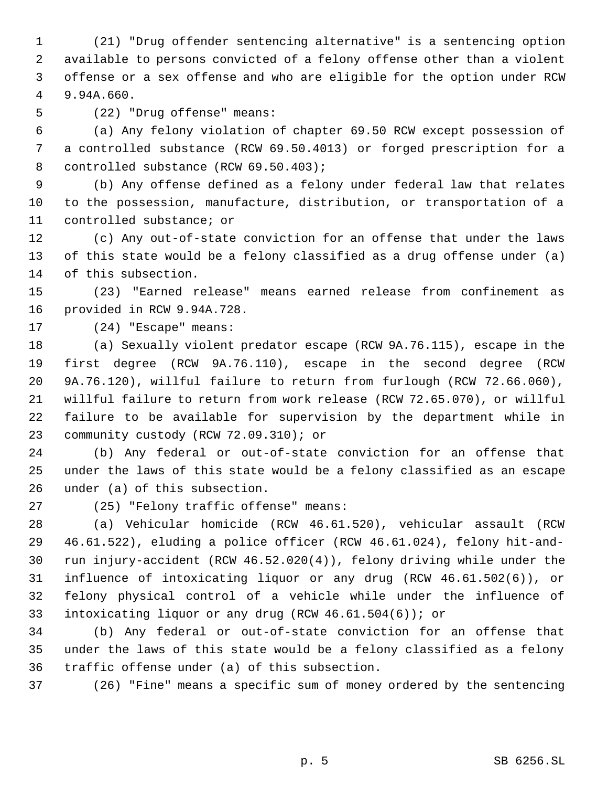(21) "Drug offender sentencing alternative" is a sentencing option available to persons convicted of a felony offense other than a violent offense or a sex offense and who are eligible for the option under RCW 9.94A.660.

(22) "Drug offense" means:

 (a) Any felony violation of chapter 69.50 RCW except possession of a controlled substance (RCW 69.50.4013) or forged prescription for a 8 controlled substance (RCW 69.50.403);

 (b) Any offense defined as a felony under federal law that relates to the possession, manufacture, distribution, or transportation of a controlled substance; or

 (c) Any out-of-state conviction for an offense that under the laws of this state would be a felony classified as a drug offense under (a) of this subsection.

 (23) "Earned release" means earned release from confinement as provided in RCW 9.94A.728.

(24) "Escape" means:

 (a) Sexually violent predator escape (RCW 9A.76.115), escape in the first degree (RCW 9A.76.110), escape in the second degree (RCW 9A.76.120), willful failure to return from furlough (RCW 72.66.060), willful failure to return from work release (RCW 72.65.070), or willful failure to be available for supervision by the department while in community custody (RCW 72.09.310); or

 (b) Any federal or out-of-state conviction for an offense that under the laws of this state would be a felony classified as an escape under (a) of this subsection.

(25) "Felony traffic offense" means:

 (a) Vehicular homicide (RCW 46.61.520), vehicular assault (RCW 46.61.522), eluding a police officer (RCW 46.61.024), felony hit-and- run injury-accident (RCW 46.52.020(4)), felony driving while under the influence of intoxicating liquor or any drug (RCW 46.61.502(6)), or felony physical control of a vehicle while under the influence of intoxicating liquor or any drug (RCW 46.61.504(6)); or

 (b) Any federal or out-of-state conviction for an offense that under the laws of this state would be a felony classified as a felony traffic offense under (a) of this subsection.

(26) "Fine" means a specific sum of money ordered by the sentencing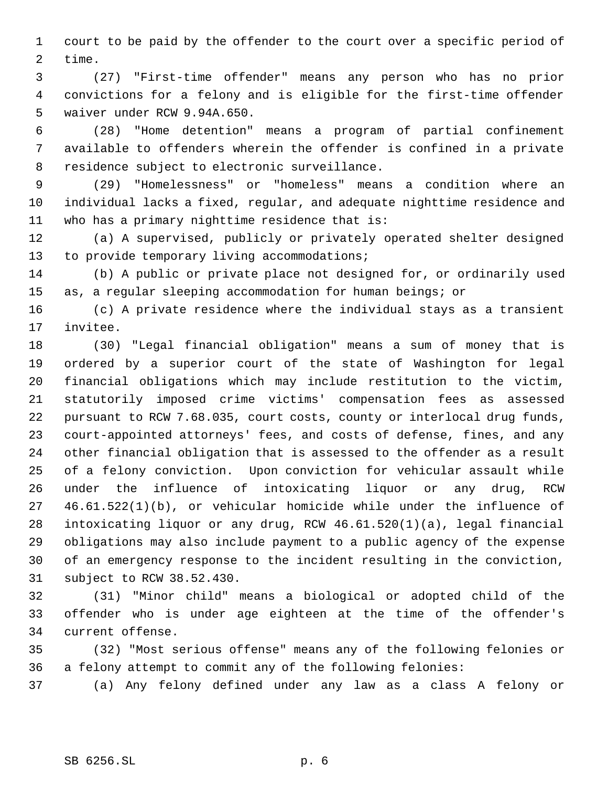court to be paid by the offender to the court over a specific period of time.

 (27) "First-time offender" means any person who has no prior convictions for a felony and is eligible for the first-time offender waiver under RCW 9.94A.650.

 (28) "Home detention" means a program of partial confinement available to offenders wherein the offender is confined in a private residence subject to electronic surveillance.

 (29) "Homelessness" or "homeless" means a condition where an individual lacks a fixed, regular, and adequate nighttime residence and who has a primary nighttime residence that is:

 (a) A supervised, publicly or privately operated shelter designed 13 to provide temporary living accommodations;

 (b) A public or private place not designed for, or ordinarily used as, a regular sleeping accommodation for human beings; or

 (c) A private residence where the individual stays as a transient invitee.

 (30) "Legal financial obligation" means a sum of money that is ordered by a superior court of the state of Washington for legal financial obligations which may include restitution to the victim, statutorily imposed crime victims' compensation fees as assessed pursuant to RCW 7.68.035, court costs, county or interlocal drug funds, court-appointed attorneys' fees, and costs of defense, fines, and any other financial obligation that is assessed to the offender as a result of a felony conviction. Upon conviction for vehicular assault while under the influence of intoxicating liquor or any drug, RCW 46.61.522(1)(b), or vehicular homicide while under the influence of intoxicating liquor or any drug, RCW 46.61.520(1)(a), legal financial obligations may also include payment to a public agency of the expense of an emergency response to the incident resulting in the conviction, subject to RCW 38.52.430.

 (31) "Minor child" means a biological or adopted child of the offender who is under age eighteen at the time of the offender's current offense.

 (32) "Most serious offense" means any of the following felonies or a felony attempt to commit any of the following felonies:

(a) Any felony defined under any law as a class A felony or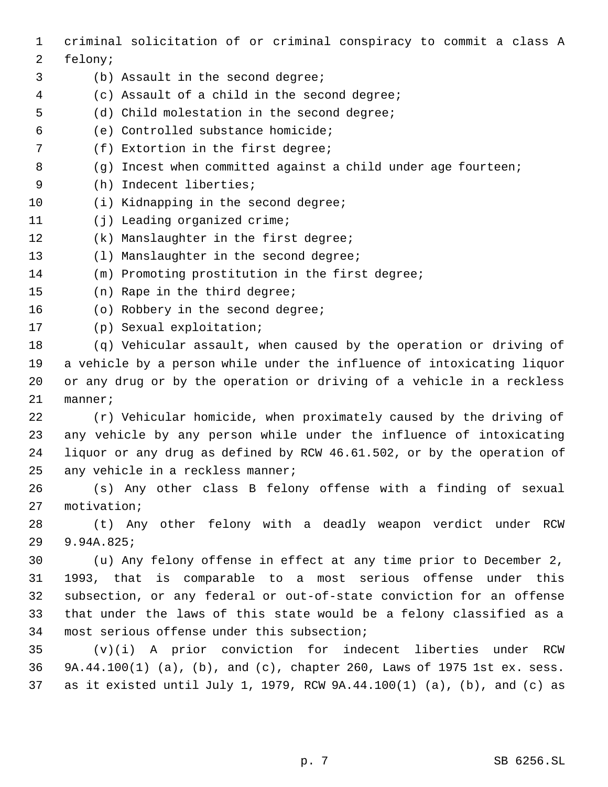criminal solicitation of or criminal conspiracy to commit a class A felony; (b) Assault in the second degree; (c) Assault of a child in the second degree; (d) Child molestation in the second degree; (e) Controlled substance homicide; (f) Extortion in the first degree; 8 (g) Incest when committed against a child under age fourteen; (h) Indecent liberties; 10 (i) Kidnapping in the second degree; 11 (j) Leading organized crime; (k) Manslaughter in the first degree; 13 (1) Manslaughter in the second degree; (m) Promoting prostitution in the first degree; (n) Rape in the third degree; 16 (o) Robbery in the second degree; (p) Sexual exploitation; (q) Vehicular assault, when caused by the operation or driving of a vehicle by a person while under the influence of intoxicating liquor or any drug or by the operation or driving of a vehicle in a reckless manner; (r) Vehicular homicide, when proximately caused by the driving of any vehicle by any person while under the influence of intoxicating liquor or any drug as defined by RCW 46.61.502, or by the operation of 25 any vehicle in a reckless manner; (s) Any other class B felony offense with a finding of sexual motivation; (t) Any other felony with a deadly weapon verdict under RCW 9.94A.825; (u) Any felony offense in effect at any time prior to December 2, 1993, that is comparable to a most serious offense under this subsection, or any federal or out-of-state conviction for an offense that under the laws of this state would be a felony classified as a most serious offense under this subsection; (v)(i) A prior conviction for indecent liberties under RCW 9A.44.100(1) (a), (b), and (c), chapter 260, Laws of 1975 1st ex. sess. as it existed until July 1, 1979, RCW 9A.44.100(1) (a), (b), and (c) as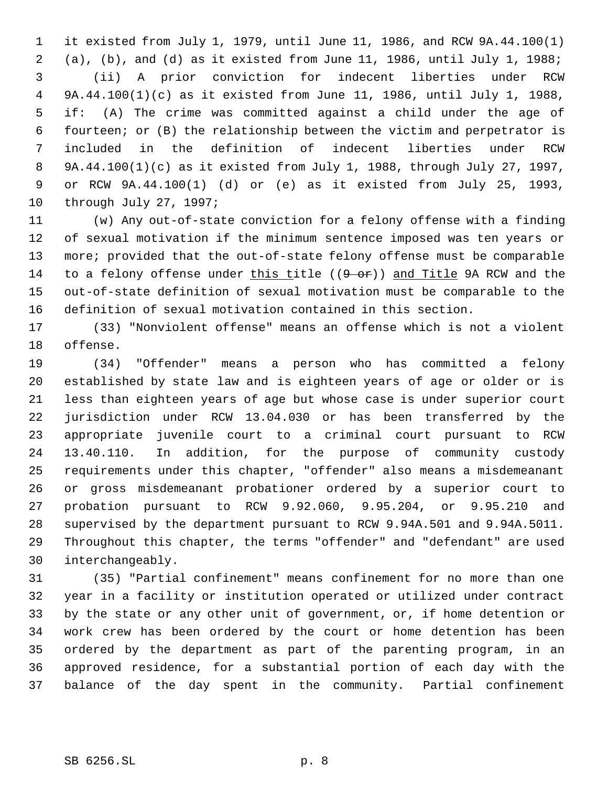it existed from July 1, 1979, until June 11, 1986, and RCW 9A.44.100(1) (a), (b), and (d) as it existed from June 11, 1986, until July 1, 1988; (ii) A prior conviction for indecent liberties under RCW 9A.44.100(1)(c) as it existed from June 11, 1986, until July 1, 1988, if: (A) The crime was committed against a child under the age of fourteen; or (B) the relationship between the victim and perpetrator is included in the definition of indecent liberties under RCW 9A.44.100(1)(c) as it existed from July 1, 1988, through July 27, 1997, or RCW 9A.44.100(1) (d) or (e) as it existed from July 25, 1993, through July 27, 1997;

 (w) Any out-of-state conviction for a felony offense with a finding of sexual motivation if the minimum sentence imposed was ten years or more; provided that the out-of-state felony offense must be comparable 14 to a felony offense under this title  $((9 - or)^2)$  and Title 9A RCW and the out-of-state definition of sexual motivation must be comparable to the definition of sexual motivation contained in this section.

 (33) "Nonviolent offense" means an offense which is not a violent offense.

 (34) "Offender" means a person who has committed a felony established by state law and is eighteen years of age or older or is less than eighteen years of age but whose case is under superior court jurisdiction under RCW 13.04.030 or has been transferred by the appropriate juvenile court to a criminal court pursuant to RCW 13.40.110. In addition, for the purpose of community custody requirements under this chapter, "offender" also means a misdemeanant or gross misdemeanant probationer ordered by a superior court to probation pursuant to RCW 9.92.060, 9.95.204, or 9.95.210 and supervised by the department pursuant to RCW 9.94A.501 and 9.94A.5011. Throughout this chapter, the terms "offender" and "defendant" are used interchangeably.

 (35) "Partial confinement" means confinement for no more than one year in a facility or institution operated or utilized under contract by the state or any other unit of government, or, if home detention or work crew has been ordered by the court or home detention has been ordered by the department as part of the parenting program, in an approved residence, for a substantial portion of each day with the balance of the day spent in the community. Partial confinement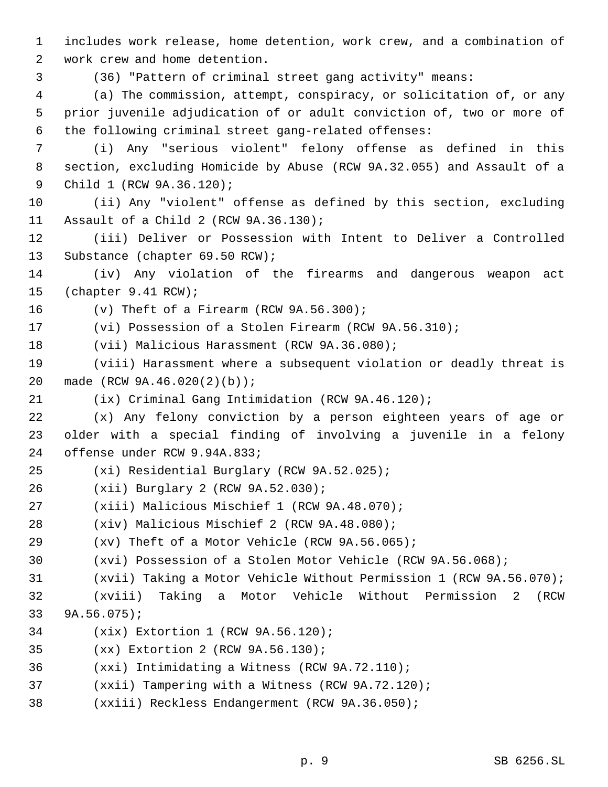includes work release, home detention, work crew, and a combination of work crew and home detention.

(36) "Pattern of criminal street gang activity" means:

 (a) The commission, attempt, conspiracy, or solicitation of, or any prior juvenile adjudication of or adult conviction of, two or more of the following criminal street gang-related offenses:

 (i) Any "serious violent" felony offense as defined in this section, excluding Homicide by Abuse (RCW 9A.32.055) and Assault of a Child 1 (RCW 9A.36.120);

 (ii) Any "violent" offense as defined by this section, excluding Assault of a Child 2 (RCW 9A.36.130);

 (iii) Deliver or Possession with Intent to Deliver a Controlled Substance (chapter 69.50 RCW);

 (iv) Any violation of the firearms and dangerous weapon act (chapter 9.41 RCW);

(v) Theft of a Firearm (RCW 9A.56.300);

(vi) Possession of a Stolen Firearm (RCW 9A.56.310);

(vii) Malicious Harassment (RCW 9A.36.080);

 (viii) Harassment where a subsequent violation or deadly threat is made (RCW 9A.46.020(2)(b));

(ix) Criminal Gang Intimidation (RCW 9A.46.120);

 (x) Any felony conviction by a person eighteen years of age or older with a special finding of involving a juvenile in a felony offense under RCW 9.94A.833;

- (xi) Residential Burglary (RCW 9A.52.025);
- (xii) Burglary 2 (RCW 9A.52.030);
- (xiii) Malicious Mischief 1 (RCW 9A.48.070);
- (xiv) Malicious Mischief 2 (RCW 9A.48.080);
- (xv) Theft of a Motor Vehicle (RCW 9A.56.065);
- (xvi) Possession of a Stolen Motor Vehicle (RCW 9A.56.068);
- (xvii) Taking a Motor Vehicle Without Permission 1 (RCW 9A.56.070);

 (xviii) Taking a Motor Vehicle Without Permission 2 (RCW 9A.56.075);

- (xix) Extortion 1 (RCW 9A.56.120);
- (xx) Extortion 2 (RCW 9A.56.130);
- (xxi) Intimidating a Witness (RCW 9A.72.110);
- (xxii) Tampering with a Witness (RCW 9A.72.120);
- (xxiii) Reckless Endangerment (RCW 9A.36.050);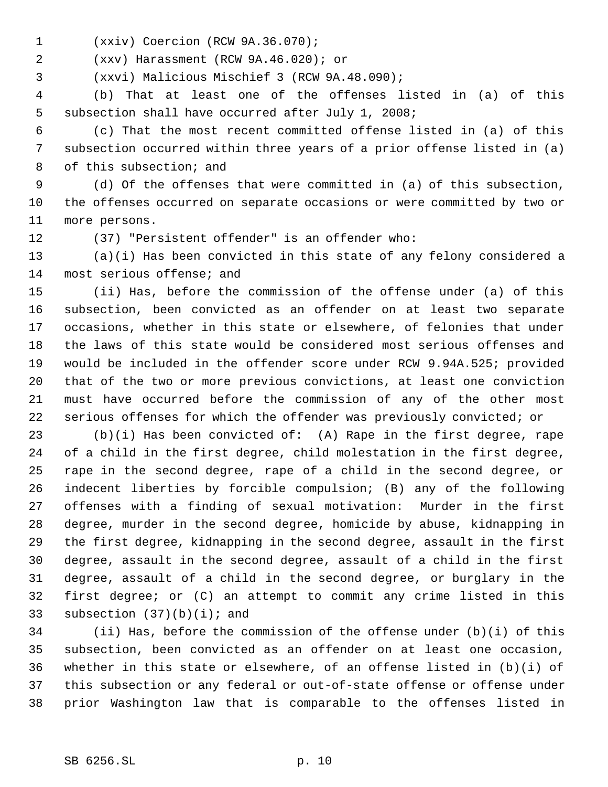(xxiv) Coercion (RCW 9A.36.070);

(xxv) Harassment (RCW 9A.46.020); or

(xxvi) Malicious Mischief 3 (RCW 9A.48.090);

 (b) That at least one of the offenses listed in (a) of this subsection shall have occurred after July 1, 2008;

 (c) That the most recent committed offense listed in (a) of this subsection occurred within three years of a prior offense listed in (a) of this subsection; and

 (d) Of the offenses that were committed in (a) of this subsection, the offenses occurred on separate occasions or were committed by two or more persons.

(37) "Persistent offender" is an offender who:

 (a)(i) Has been convicted in this state of any felony considered a most serious offense; and

 (ii) Has, before the commission of the offense under (a) of this subsection, been convicted as an offender on at least two separate occasions, whether in this state or elsewhere, of felonies that under the laws of this state would be considered most serious offenses and would be included in the offender score under RCW 9.94A.525; provided that of the two or more previous convictions, at least one conviction must have occurred before the commission of any of the other most serious offenses for which the offender was previously convicted; or

 (b)(i) Has been convicted of: (A) Rape in the first degree, rape of a child in the first degree, child molestation in the first degree, rape in the second degree, rape of a child in the second degree, or indecent liberties by forcible compulsion; (B) any of the following offenses with a finding of sexual motivation: Murder in the first degree, murder in the second degree, homicide by abuse, kidnapping in the first degree, kidnapping in the second degree, assault in the first degree, assault in the second degree, assault of a child in the first degree, assault of a child in the second degree, or burglary in the first degree; or (C) an attempt to commit any crime listed in this 33 subsection  $(37)(b)(i)$ ; and

 (ii) Has, before the commission of the offense under (b)(i) of this subsection, been convicted as an offender on at least one occasion, whether in this state or elsewhere, of an offense listed in (b)(i) of this subsection or any federal or out-of-state offense or offense under prior Washington law that is comparable to the offenses listed in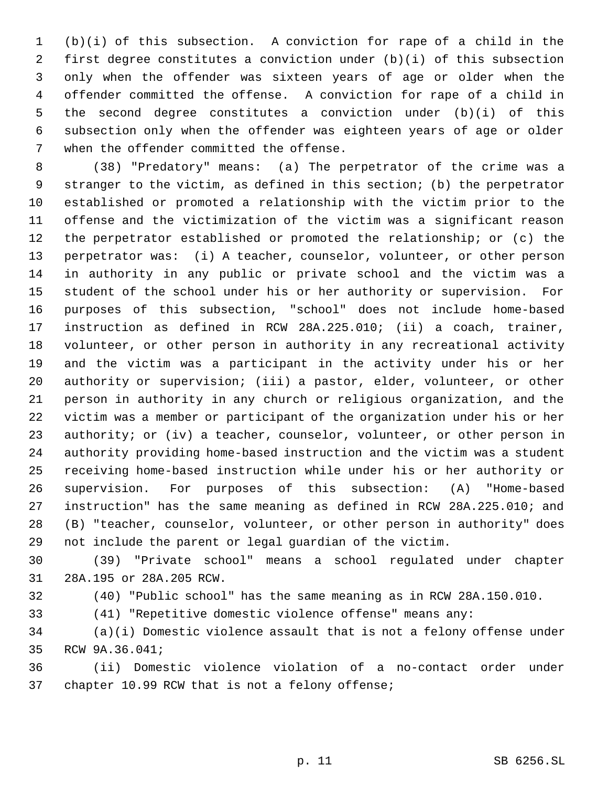(b)(i) of this subsection. A conviction for rape of a child in the first degree constitutes a conviction under (b)(i) of this subsection only when the offender was sixteen years of age or older when the offender committed the offense. A conviction for rape of a child in the second degree constitutes a conviction under (b)(i) of this subsection only when the offender was eighteen years of age or older when the offender committed the offense.

 (38) "Predatory" means: (a) The perpetrator of the crime was a stranger to the victim, as defined in this section; (b) the perpetrator established or promoted a relationship with the victim prior to the offense and the victimization of the victim was a significant reason the perpetrator established or promoted the relationship; or (c) the perpetrator was: (i) A teacher, counselor, volunteer, or other person in authority in any public or private school and the victim was a student of the school under his or her authority or supervision. For purposes of this subsection, "school" does not include home-based instruction as defined in RCW 28A.225.010; (ii) a coach, trainer, volunteer, or other person in authority in any recreational activity and the victim was a participant in the activity under his or her authority or supervision; (iii) a pastor, elder, volunteer, or other person in authority in any church or religious organization, and the victim was a member or participant of the organization under his or her 23 authority; or (iv) a teacher, counselor, volunteer, or other person in authority providing home-based instruction and the victim was a student receiving home-based instruction while under his or her authority or supervision. For purposes of this subsection: (A) "Home-based instruction" has the same meaning as defined in RCW 28A.225.010; and (B) "teacher, counselor, volunteer, or other person in authority" does not include the parent or legal guardian of the victim.

 (39) "Private school" means a school regulated under chapter 28A.195 or 28A.205 RCW.

(40) "Public school" has the same meaning as in RCW 28A.150.010.

(41) "Repetitive domestic violence offense" means any:

 (a)(i) Domestic violence assault that is not a felony offense under RCW 9A.36.041;

 (ii) Domestic violence violation of a no-contact order under chapter 10.99 RCW that is not a felony offense;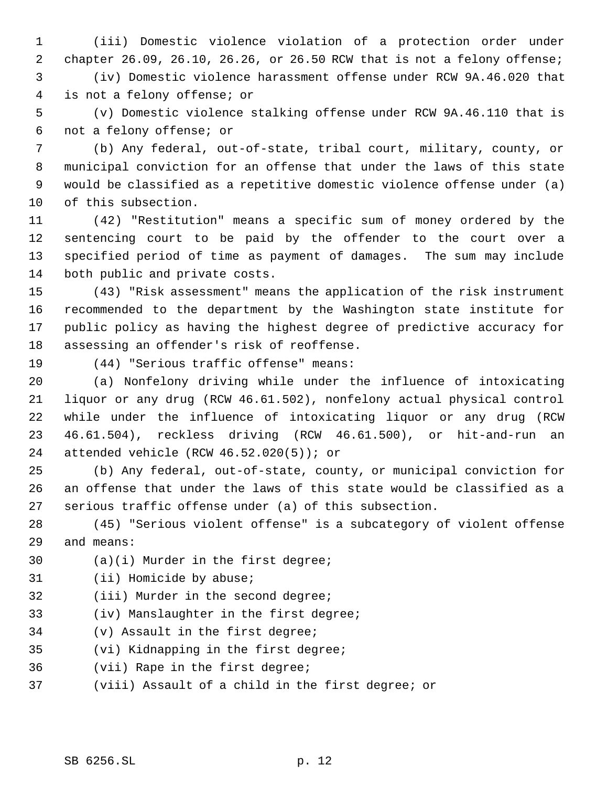(iii) Domestic violence violation of a protection order under chapter 26.09, 26.10, 26.26, or 26.50 RCW that is not a felony offense; (iv) Domestic violence harassment offense under RCW 9A.46.020 that

is not a felony offense; or

 (v) Domestic violence stalking offense under RCW 9A.46.110 that is not a felony offense; or

 (b) Any federal, out-of-state, tribal court, military, county, or municipal conviction for an offense that under the laws of this state would be classified as a repetitive domestic violence offense under (a) of this subsection.

 (42) "Restitution" means a specific sum of money ordered by the sentencing court to be paid by the offender to the court over a specified period of time as payment of damages. The sum may include both public and private costs.

 (43) "Risk assessment" means the application of the risk instrument recommended to the department by the Washington state institute for public policy as having the highest degree of predictive accuracy for assessing an offender's risk of reoffense.

(44) "Serious traffic offense" means:

 (a) Nonfelony driving while under the influence of intoxicating liquor or any drug (RCW 46.61.502), nonfelony actual physical control while under the influence of intoxicating liquor or any drug (RCW 46.61.504), reckless driving (RCW 46.61.500), or hit-and-run an attended vehicle (RCW 46.52.020(5)); or

 (b) Any federal, out-of-state, county, or municipal conviction for an offense that under the laws of this state would be classified as a serious traffic offense under (a) of this subsection.

 (45) "Serious violent offense" is a subcategory of violent offense and means:

- (a)(i) Murder in the first degree;
- (ii) Homicide by abuse;
- (iii) Murder in the second degree;
- (iv) Manslaughter in the first degree;
- (v) Assault in the first degree;
- (vi) Kidnapping in the first degree;
- (vii) Rape in the first degree;
- (viii) Assault of a child in the first degree; or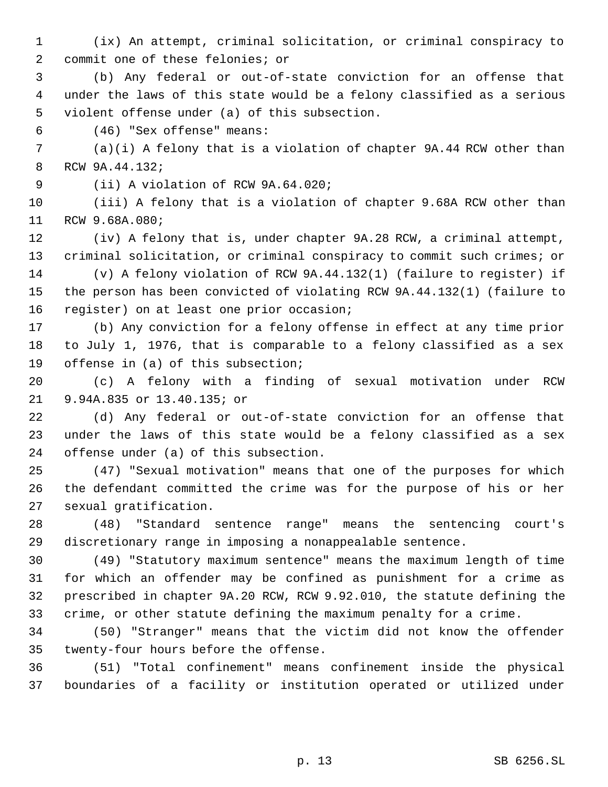- (ix) An attempt, criminal solicitation, or criminal conspiracy to commit one of these felonies; or
- (b) Any federal or out-of-state conviction for an offense that under the laws of this state would be a felony classified as a serious violent offense under (a) of this subsection.
- (46) "Sex offense" means:
- (a)(i) A felony that is a violation of chapter 9A.44 RCW other than RCW 9A.44.132;
- (ii) A violation of RCW 9A.64.020;
- (iii) A felony that is a violation of chapter 9.68A RCW other than RCW 9.68A.080;
- (iv) A felony that is, under chapter 9A.28 RCW, a criminal attempt, criminal solicitation, or criminal conspiracy to commit such crimes; or
- (v) A felony violation of RCW 9A.44.132(1) (failure to register) if the person has been convicted of violating RCW 9A.44.132(1) (failure to register) on at least one prior occasion;
- (b) Any conviction for a felony offense in effect at any time prior to July 1, 1976, that is comparable to a felony classified as a sex offense in (a) of this subsection;
- (c) A felony with a finding of sexual motivation under RCW 9.94A.835 or 13.40.135; or
- (d) Any federal or out-of-state conviction for an offense that under the laws of this state would be a felony classified as a sex offense under (a) of this subsection.
- (47) "Sexual motivation" means that one of the purposes for which the defendant committed the crime was for the purpose of his or her sexual gratification.
- (48) "Standard sentence range" means the sentencing court's discretionary range in imposing a nonappealable sentence.
- (49) "Statutory maximum sentence" means the maximum length of time for which an offender may be confined as punishment for a crime as prescribed in chapter 9A.20 RCW, RCW 9.92.010, the statute defining the crime, or other statute defining the maximum penalty for a crime.
- (50) "Stranger" means that the victim did not know the offender twenty-four hours before the offense.
- (51) "Total confinement" means confinement inside the physical boundaries of a facility or institution operated or utilized under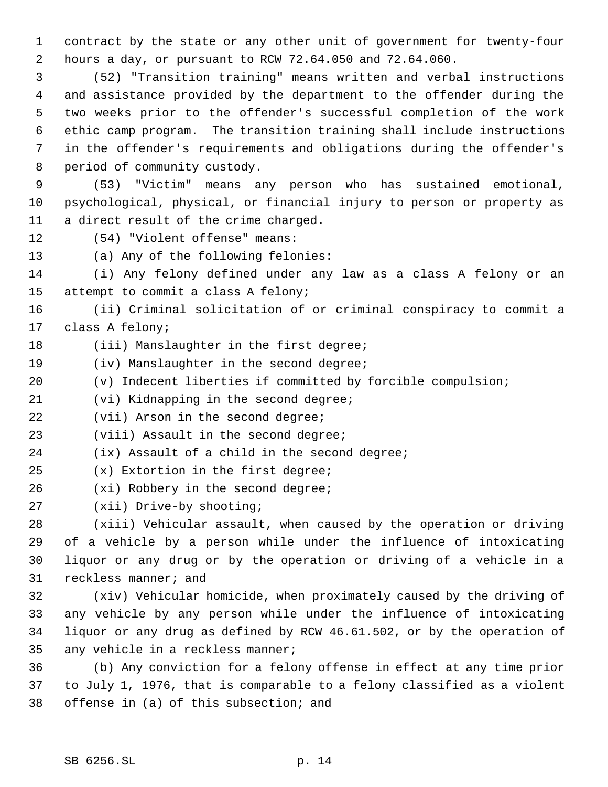contract by the state or any other unit of government for twenty-four hours a day, or pursuant to RCW 72.64.050 and 72.64.060.

 (52) "Transition training" means written and verbal instructions and assistance provided by the department to the offender during the two weeks prior to the offender's successful completion of the work ethic camp program. The transition training shall include instructions in the offender's requirements and obligations during the offender's period of community custody.

 (53) "Victim" means any person who has sustained emotional, psychological, physical, or financial injury to person or property as a direct result of the crime charged.

(54) "Violent offense" means:

(a) Any of the following felonies:

 (i) Any felony defined under any law as a class A felony or an attempt to commit a class A felony;

 (ii) Criminal solicitation of or criminal conspiracy to commit a class A felony;

- 18 (iii) Manslaughter in the first degree;
- 19 (iv) Manslaughter in the second degree;
- (v) Indecent liberties if committed by forcible compulsion;

(vi) Kidnapping in the second degree;

22 (vii) Arson in the second degree;

(viii) Assault in the second degree;

(ix) Assault of a child in the second degree;

- (x) Extortion in the first degree;
- 26 (xi) Robbery in the second degree;
- (xii) Drive-by shooting;

 (xiii) Vehicular assault, when caused by the operation or driving of a vehicle by a person while under the influence of intoxicating liquor or any drug or by the operation or driving of a vehicle in a reckless manner; and

 (xiv) Vehicular homicide, when proximately caused by the driving of any vehicle by any person while under the influence of intoxicating liquor or any drug as defined by RCW 46.61.502, or by the operation of any vehicle in a reckless manner;

 (b) Any conviction for a felony offense in effect at any time prior to July 1, 1976, that is comparable to a felony classified as a violent offense in (a) of this subsection; and